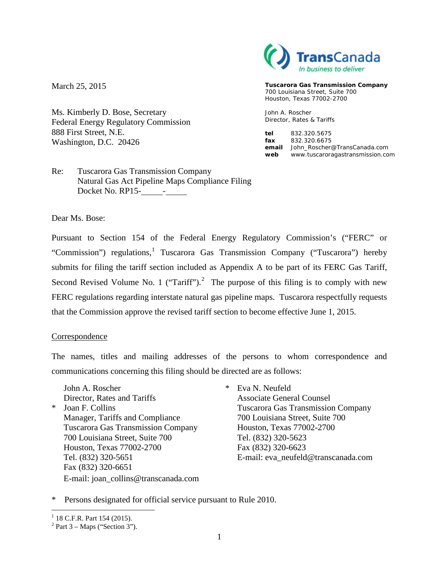March 25, 2015

Ms. Kimberly D. Bose, Secretary Federal Energy Regulatory Commission 888 First Street, N.E. Washington, D.C. 20426



**Tuscarora Gas Transmission Company** 700 Louisiana Street, Suite 700 Houston, Texas 77002-2700

John A. Roscher Director, Rates & Tariffs

**tel** 832.320.5675 **fax** 832.320.6675 **email** John\_Roscher@TransCanada.com **web** www.tuscaroragastransmission.com

Re: Tuscarora Gas Transmission Company Natural Gas Act Pipeline Maps Compliance Filing Docket No. RP15- - .

Dear Ms. Bose:

Pursuant to Section 154 of the Federal Energy Regulatory Commission's ("FERC" or "Commission") regulations,<sup>[1](#page-0-0)</sup> Tuscarora Gas Transmission Company ("Tuscarora") hereby submits for filing the tariff section included as Appendix A to be part of its FERC Gas Tariff, Second Revised Volume No. 1 ("Tariff").<sup>[2](#page-0-1)</sup> The purpose of this filing is to comply with new FERC regulations regarding interstate natural gas pipeline maps. Tuscarora respectfully requests that the Commission approve the revised tariff section to become effective June 1, 2015.

#### Correspondence

The names, titles and mailing addresses of the persons to whom correspondence and communications concerning this filing should be directed are as follows:

- John A. Roscher \* Eva N. Neufeld Director, Rates and Tariffs Associate General Counsel \* Joan F. Collins Tuscarora Gas Transmission Company Manager, Tariffs and Compliance 700 Louisiana Street, Suite 700 Tuscarora Gas Transmission Company Houston, Texas 77002-2700 700 Louisiana Street, Suite 700 Tel. (832) 320-5623 Houston, Texas 77002-2700 Fax (832) 320-6623 Fax (832) 320-6651 E-mail: joan\_collins@transcanada.com
	- Tel. (832) 320-5651 E-mail: eva\_neufeld@transcanada.com

\* Persons designated for official service pursuant to Rule 2010.

<span id="page-0-0"></span> $1$  18 C.F.R. Part 154 (2015).

<span id="page-0-1"></span> $2$  Part 3 – Maps ("Section 3").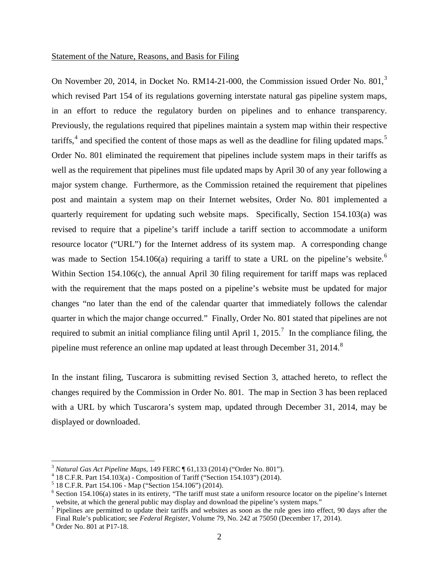#### Statement of the Nature, Reasons, and Basis for Filing

On November 20, 2014, in Docket No. RM14-21-000, the Commission issued Order No. 801.<sup>[3](#page-1-0)</sup> which revised Part 154 of its regulations governing interstate natural gas pipeline system maps, in an effort to reduce the regulatory burden on pipelines and to enhance transparency. Previously, the regulations required that pipelines maintain a system map within their respective tariffs,<sup>[4](#page-1-1)</sup> and specified the content of those maps as well as the deadline for filing updated maps.<sup>[5](#page-1-2)</sup> Order No. 801 eliminated the requirement that pipelines include system maps in their tariffs as well as the requirement that pipelines must file updated maps by April 30 of any year following a major system change. Furthermore, as the Commission retained the requirement that pipelines post and maintain a system map on their Internet websites, Order No. 801 implemented a quarterly requirement for updating such website maps. Specifically, Section 154.103(a) was revised to require that a pipeline's tariff include a tariff section to accommodate a uniform resource locator ("URL") for the Internet address of its system map. A corresponding change was made to Section 154.10[6](#page-1-3)(a) requiring a tariff to state a URL on the pipeline's website.<sup>6</sup> Within Section 154.106(c), the annual April 30 filing requirement for tariff maps was replaced with the requirement that the maps posted on a pipeline's website must be updated for major changes "no later than the end of the calendar quarter that immediately follows the calendar quarter in which the major change occurred." Finally, Order No. 801 stated that pipelines are not required to submit an initial compliance filing until April 1, 2015.<sup>[7](#page-1-4)</sup> In the compliance filing, the pipeline must reference an online map updated at least through December 31, 2014.<sup>[8](#page-1-5)</sup>

In the instant filing, Tuscarora is submitting revised Section 3, attached hereto, to reflect the changes required by the Commission in Order No. 801. The map in Section 3 has been replaced with a URL by which Tuscarora's system map, updated through December 31, 2014, may be displayed or downloaded.

<span id="page-1-1"></span>

<span id="page-1-3"></span><span id="page-1-2"></span>

<span id="page-1-0"></span><sup>&</sup>lt;sup>3</sup> Natural Gas Act Pipeline Maps, 149 FERC  $\parallel$  61,133 (2014) ("Order No. 801").<br><sup>4</sup> 18 C.F.R. Part 154.103(a) - Composition of Tariff ("Section 154.103") (2014).<br><sup>5</sup> 18 C.F.R. Part 154.106 - Map ("Section 154.106") (201 website, at which the general public may display and download the pipeline's system maps."

<span id="page-1-4"></span><sup>&</sup>lt;sup>7</sup> Pipelines are permitted to update their tariffs and websites as soon as the rule goes into effect, 90 days after the Final Rule's publication; see *Federal Register*, Volume 79, No. 242 at 75050 (December 17, 2014). <sup>8</sup> Order No. 801 at P17-18.

<span id="page-1-5"></span>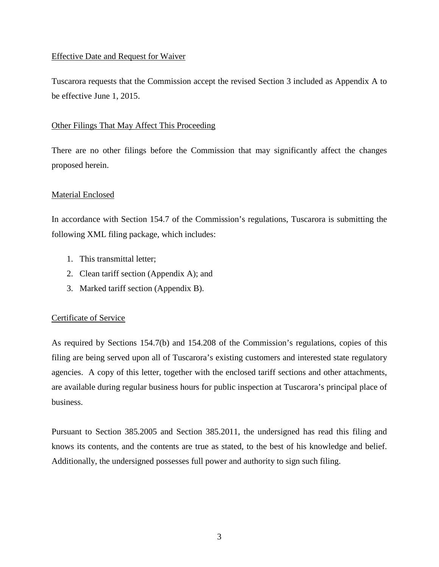### Effective Date and Request for Waiver

Tuscarora requests that the Commission accept the revised Section 3 included as Appendix A to be effective June 1, 2015.

#### Other Filings That May Affect This Proceeding

There are no other filings before the Commission that may significantly affect the changes proposed herein.

#### Material Enclosed

In accordance with Section 154.7 of the Commission's regulations, Tuscarora is submitting the following XML filing package, which includes:

- 1. This transmittal letter;
- 2. Clean tariff section (Appendix A); and
- 3. Marked tariff section (Appendix B).

### Certificate of Service

As required by Sections 154.7(b) and 154.208 of the Commission's regulations, copies of this filing are being served upon all of Tuscarora's existing customers and interested state regulatory agencies. A copy of this letter, together with the enclosed tariff sections and other attachments, are available during regular business hours for public inspection at Tuscarora's principal place of business.

Pursuant to Section 385.2005 and Section 385.2011, the undersigned has read this filing and knows its contents, and the contents are true as stated, to the best of his knowledge and belief. Additionally, the undersigned possesses full power and authority to sign such filing.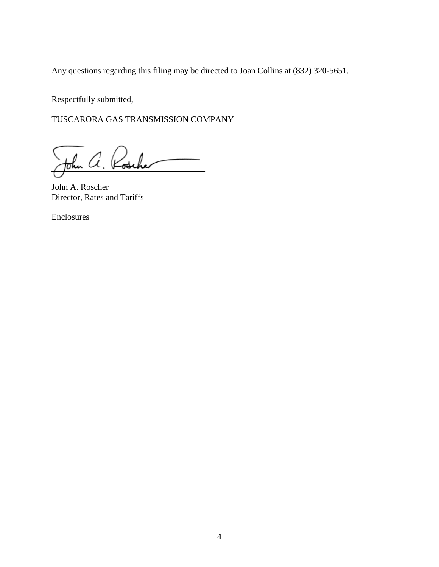Any questions regarding this filing may be directed to Joan Collins at (832) 320-5651.

Respectfully submitted,

TUSCARORA GAS TRANSMISSION COMPANY

John a. Rosch

John A. Roscher Director, Rates and Tariffs

Enclosures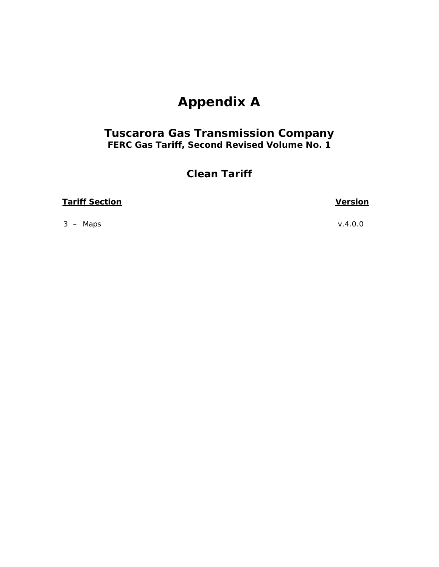# **Appendix A**

## *Tuscarora Gas Transmission Company FERC Gas Tariff, Second Revised Volume No. 1*

## **Clean Tariff**

## **Tariff Section Version**

3 – Maps v.4.0.0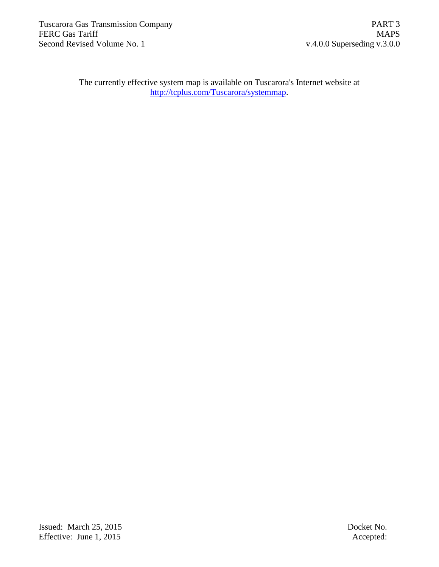The currently effective system map is available on Tuscarora's Internet website at http://tcplus.com/Tuscarora/systemmap.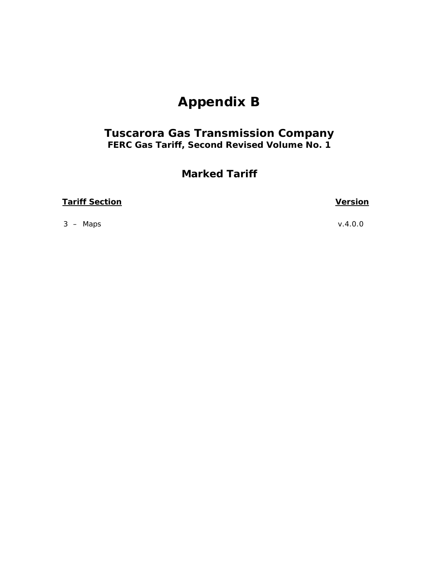# **Appendix B**

## *Tuscarora Gas Transmission Company FERC Gas Tariff, Second Revised Volume No. 1*

## **Marked Tariff**

## **Tariff Section Version**

3 – Maps v.4.0.0